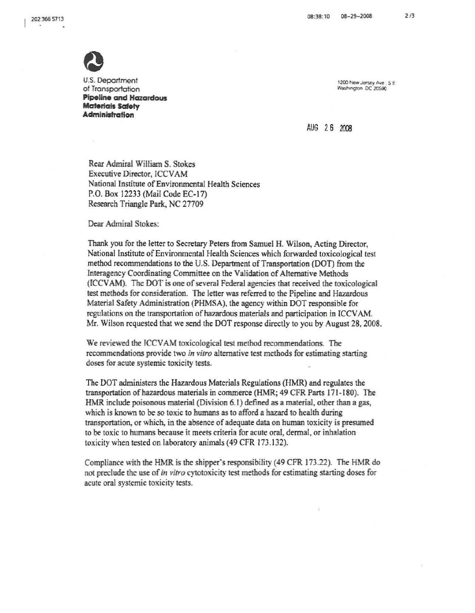

 $\approx$ 

U.S. Department 1200 New Jersey Ave., S.E. (1990 New Jersey Ave., S.E. 200 New Jersey Ave., S.E. 200 New Jersey Ave., S.E. 200 New Jersey Ave., S.E. 200 New Jersey Ave., S.E. 200 New Jersey Ave., S.E. 200 New Jersey Ave., of Transportation **Pipeline and Hazardous Materials Safety Administration** 

AUG 2 6 2003

Rear Admiral William S. Stokes Executive Director, ICCVAM National Institute of Environmental Health Sciences P.O. Box 12233 (Mail Code EC-17) Research Triangle Park, NC 27709

Dear Admiral Stokes:

Thank you for the letter to Secretary Peters from Samuel H. Wilson, Acting Director, National Institute of Environmental Health Sciences which forwarded toxicological test method recommendations to the U.S. Department of Transportation (DOT) from the Interagency Coordinating Committee on the Validation of Alternative Methods (ICCVAM). The DOT is one of several Federal agencies that received the toxicological test methods for consideration. The letter was referred to the Pipeline and Hazardous Material Safety Administration (PHMSA), the agency within DOT responsible for regulations on the transportation ofhazardous materials and participation in ICCVAM. Mr. Wilson requested that we send the DOT response directly to you by August 28, 2008.

We reviewed the ICCVAM toxicological test method recommendations. The recommendations provide two *in vitro* alternative test methods for estimating starting doses for acute systemic toxicity tests.

The DOT administers the Hazardous Materials Regulations (HMR) and regulates the transportation ofhazardous materials in commerce (HMR; 49 CFR Parts 171-180). The HMR include poisonous material (Division 6.1) defined as a material, other than a gas, which is known to be so toxic to humans as to afford a hazard to health during transportation, or which, in the absence ofadequate data on human toxicity is presumed to be toxic to humans because it meets criteria for acute oral, dennal, or inhalation toxicity when tested on laboratory animals (49 CFR 173.132).

Compliance with the HMR is the shipper's responsibility (49 CFR 173.22). The HMR do not preclude the use of*in vitro* cytotoxicity test methods for estimating starting doses for acute oral systemic toxicity tests.